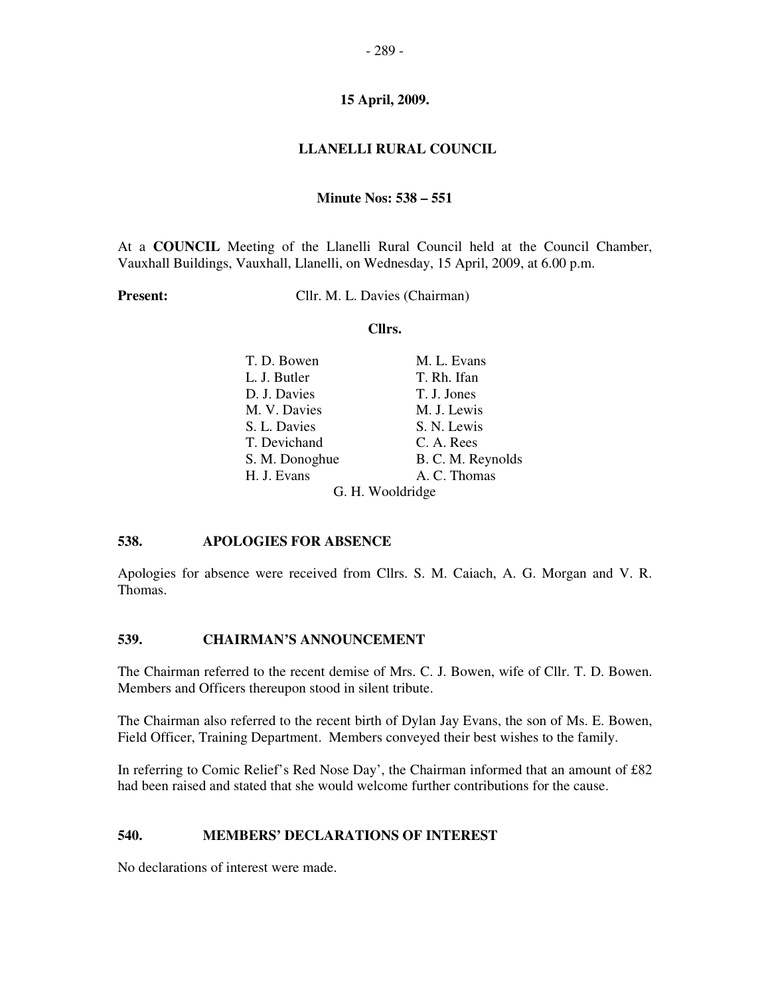## **LLANELLI RURAL COUNCIL**

#### **Minute Nos: 538 – 551**

At a **COUNCIL** Meeting of the Llanelli Rural Council held at the Council Chamber, Vauxhall Buildings, Vauxhall, Llanelli, on Wednesday, 15 April, 2009, at 6.00 p.m.

**Present:** Cllr. M. L. Davies (Chairman)

#### **Cllrs.**

| T. D. Bowen      | M. L. Evans       |  |
|------------------|-------------------|--|
| L. J. Butler     | T. Rh. Ifan       |  |
| D. J. Davies     | T. J. Jones       |  |
| M. V. Davies     | M. J. Lewis       |  |
| S. L. Davies     | S. N. Lewis       |  |
| T. Devichand     | C. A. Rees        |  |
| S. M. Donoghue   | B. C. M. Reynolds |  |
| H. J. Evans      | A. C. Thomas      |  |
| G. H. Wooldridge |                   |  |

#### **538. APOLOGIES FOR ABSENCE**

Apologies for absence were received from Cllrs. S. M. Caiach, A. G. Morgan and V. R. Thomas.

### **539. CHAIRMAN'S ANNOUNCEMENT**

The Chairman referred to the recent demise of Mrs. C. J. Bowen, wife of Cllr. T. D. Bowen. Members and Officers thereupon stood in silent tribute.

The Chairman also referred to the recent birth of Dylan Jay Evans, the son of Ms. E. Bowen, Field Officer, Training Department. Members conveyed their best wishes to the family.

In referring to Comic Relief's Red Nose Day', the Chairman informed that an amount of £82 had been raised and stated that she would welcome further contributions for the cause.

### **540. MEMBERS' DECLARATIONS OF INTEREST**

No declarations of interest were made.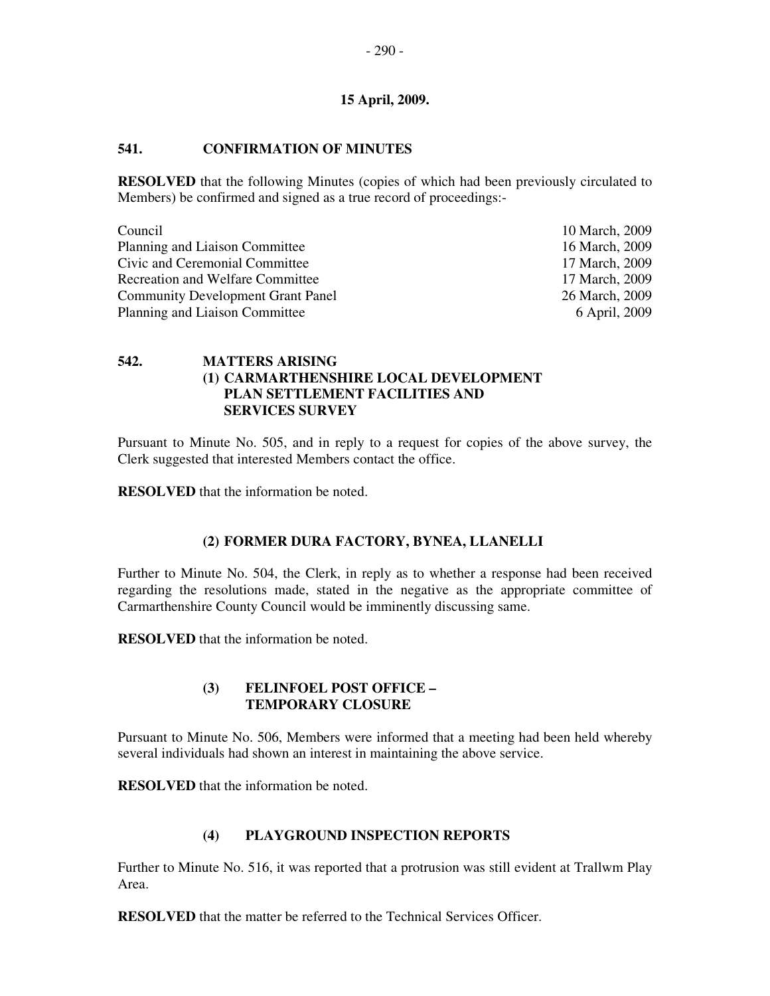# **541. CONFIRMATION OF MINUTES**

**RESOLVED** that the following Minutes (copies of which had been previously circulated to Members) be confirmed and signed as a true record of proceedings:-

| Council                                  | 10 March, 2009 |
|------------------------------------------|----------------|
| Planning and Liaison Committee           | 16 March, 2009 |
| Civic and Ceremonial Committee           | 17 March, 2009 |
| <b>Recreation and Welfare Committee</b>  | 17 March, 2009 |
| <b>Community Development Grant Panel</b> | 26 March, 2009 |
| Planning and Liaison Committee           | 6 April, 2009  |

# **542. MATTERS ARISING (1) CARMARTHENSHIRE LOCAL DEVELOPMENT PLAN SETTLEMENT FACILITIES AND SERVICES SURVEY**

Pursuant to Minute No. 505, and in reply to a request for copies of the above survey, the Clerk suggested that interested Members contact the office.

**RESOLVED** that the information be noted.

# **(2) FORMER DURA FACTORY, BYNEA, LLANELLI**

Further to Minute No. 504, the Clerk, in reply as to whether a response had been received regarding the resolutions made, stated in the negative as the appropriate committee of Carmarthenshire County Council would be imminently discussing same.

**RESOLVED** that the information be noted.

### **(3) FELINFOEL POST OFFICE – TEMPORARY CLOSURE**

Pursuant to Minute No. 506, Members were informed that a meeting had been held whereby several individuals had shown an interest in maintaining the above service.

**RESOLVED** that the information be noted.

# **(4) PLAYGROUND INSPECTION REPORTS**

Further to Minute No. 516, it was reported that a protrusion was still evident at Trallwm Play Area.

**RESOLVED** that the matter be referred to the Technical Services Officer.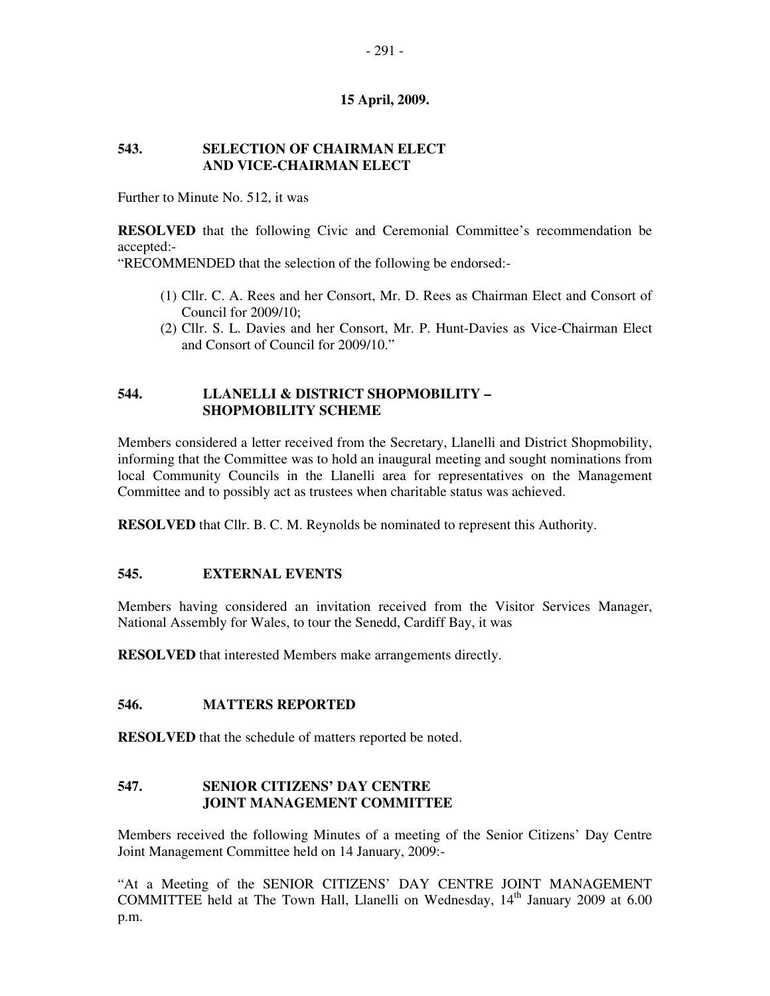### **543. SELECTION OF CHAIRMAN ELECT AND VICE-CHAIRMAN ELECT**

Further to Minute No. 512, it was

**RESOLVED** that the following Civic and Ceremonial Committee's recommendation be accepted:-

"RECOMMENDED that the selection of the following be endorsed:-

- (1) Cllr. C. A. Rees and her Consort, Mr. D. Rees as Chairman Elect and Consort of Council for 2009/10;
- (2) Cllr. S. L. Davies and her Consort, Mr. P. Hunt-Davies as Vice-Chairman Elect and Consort of Council for 2009/10."

### **544. LLANELLI & DISTRICT SHOPMOBILITY – SHOPMOBILITY SCHEME**

Members considered a letter received from the Secretary, Llanelli and District Shopmobility, informing that the Committee was to hold an inaugural meeting and sought nominations from local Community Councils in the Llanelli area for representatives on the Management Committee and to possibly act as trustees when charitable status was achieved.

**RESOLVED** that Cllr. B. C. M. Reynolds be nominated to represent this Authority.

### **545. EXTERNAL EVENTS**

Members having considered an invitation received from the Visitor Services Manager, National Assembly for Wales, to tour the Senedd, Cardiff Bay, it was

**RESOLVED** that interested Members make arrangements directly.

#### **546. MATTERS REPORTED**

**RESOLVED** that the schedule of matters reported be noted.

### **547. SENIOR CITIZENS' DAY CENTRE JOINT MANAGEMENT COMMITTEE**

Members received the following Minutes of a meeting of the Senior Citizens' Day Centre Joint Management Committee held on 14 January, 2009:-

"At a Meeting of the SENIOR CITIZENS' DAY CENTRE JOINT MANAGEMENT COMMITTEE held at The Town Hall, Llanelli on Wednesday, 14<sup>th</sup> January 2009 at 6.00 p.m.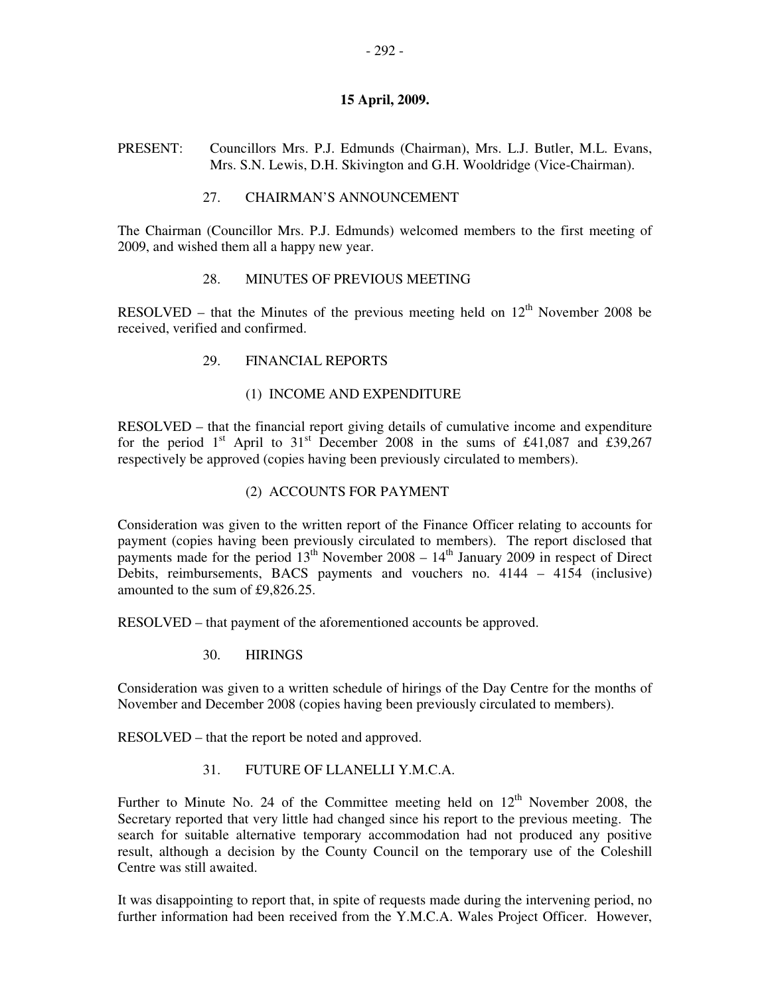PRESENT: Councillors Mrs. P.J. Edmunds (Chairman), Mrs. L.J. Butler, M.L. Evans, Mrs. S.N. Lewis, D.H. Skivington and G.H. Wooldridge (Vice-Chairman).

## 27. CHAIRMAN'S ANNOUNCEMENT

The Chairman (Councillor Mrs. P.J. Edmunds) welcomed members to the first meeting of 2009, and wished them all a happy new year.

### 28. MINUTES OF PREVIOUS MEETING

RESOLVED – that the Minutes of the previous meeting held on  $12<sup>th</sup>$  November 2008 be received, verified and confirmed.

### 29. FINANCIAL REPORTS

### (1) INCOME AND EXPENDITURE

RESOLVED – that the financial report giving details of cumulative income and expenditure for the period 1<sup>st</sup> April to 31<sup>st</sup> December 2008 in the sums of £41,087 and £39,267 respectively be approved (copies having been previously circulated to members).

## (2) ACCOUNTS FOR PAYMENT

Consideration was given to the written report of the Finance Officer relating to accounts for payment (copies having been previously circulated to members). The report disclosed that payments made for the period  $13<sup>th</sup>$  November 2008 –  $14<sup>th</sup>$  January 2009 in respect of Direct Debits, reimbursements, BACS payments and vouchers no. 4144 – 4154 (inclusive) amounted to the sum of £9,826.25.

RESOLVED – that payment of the aforementioned accounts be approved.

### 30. HIRINGS

Consideration was given to a written schedule of hirings of the Day Centre for the months of November and December 2008 (copies having been previously circulated to members).

RESOLVED – that the report be noted and approved.

### 31. FUTURE OF LLANELLI Y.M.C.A.

Further to Minute No. 24 of the Committee meeting held on  $12<sup>th</sup>$  November 2008, the Secretary reported that very little had changed since his report to the previous meeting. The search for suitable alternative temporary accommodation had not produced any positive result, although a decision by the County Council on the temporary use of the Coleshill Centre was still awaited.

It was disappointing to report that, in spite of requests made during the intervening period, no further information had been received from the Y.M.C.A. Wales Project Officer. However,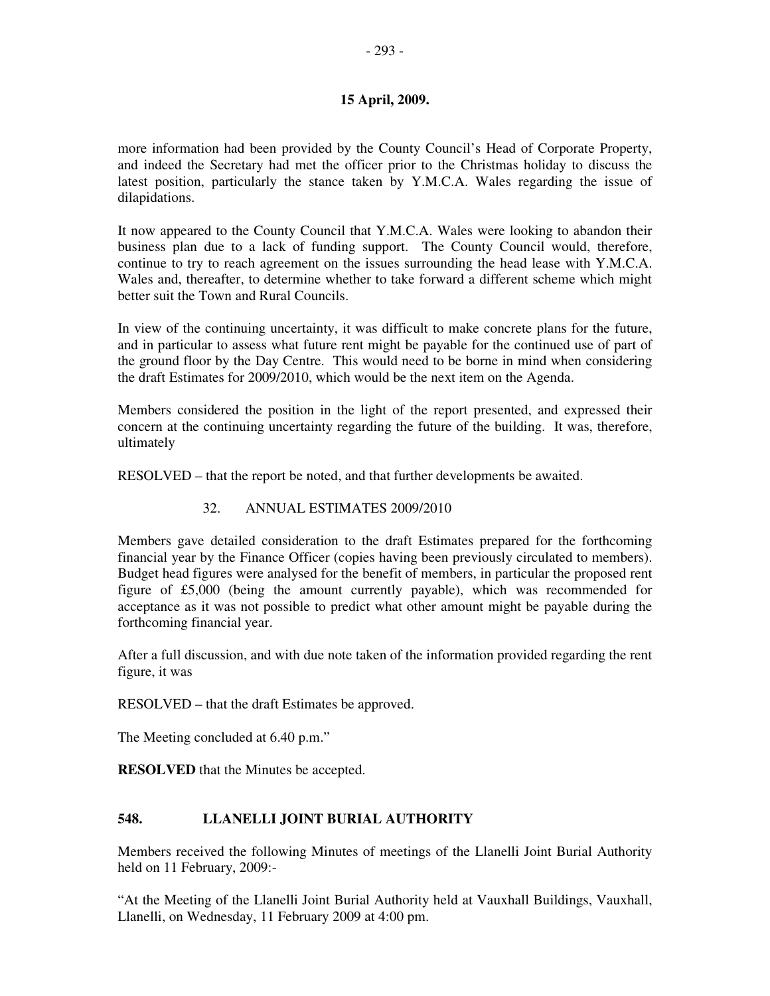more information had been provided by the County Council's Head of Corporate Property, and indeed the Secretary had met the officer prior to the Christmas holiday to discuss the latest position, particularly the stance taken by Y.M.C.A. Wales regarding the issue of dilapidations.

It now appeared to the County Council that Y.M.C.A. Wales were looking to abandon their business plan due to a lack of funding support. The County Council would, therefore, continue to try to reach agreement on the issues surrounding the head lease with Y.M.C.A. Wales and, thereafter, to determine whether to take forward a different scheme which might better suit the Town and Rural Councils.

In view of the continuing uncertainty, it was difficult to make concrete plans for the future, and in particular to assess what future rent might be payable for the continued use of part of the ground floor by the Day Centre. This would need to be borne in mind when considering the draft Estimates for 2009/2010, which would be the next item on the Agenda.

Members considered the position in the light of the report presented, and expressed their concern at the continuing uncertainty regarding the future of the building. It was, therefore, ultimately

RESOLVED – that the report be noted, and that further developments be awaited.

# 32. ANNUAL ESTIMATES 2009/2010

Members gave detailed consideration to the draft Estimates prepared for the forthcoming financial year by the Finance Officer (copies having been previously circulated to members). Budget head figures were analysed for the benefit of members, in particular the proposed rent figure of £5,000 (being the amount currently payable), which was recommended for acceptance as it was not possible to predict what other amount might be payable during the forthcoming financial year.

After a full discussion, and with due note taken of the information provided regarding the rent figure, it was

RESOLVED – that the draft Estimates be approved.

The Meeting concluded at 6.40 p.m."

**RESOLVED** that the Minutes be accepted.

# **548. LLANELLI JOINT BURIAL AUTHORITY**

Members received the following Minutes of meetings of the Llanelli Joint Burial Authority held on 11 February, 2009:-

"At the Meeting of the Llanelli Joint Burial Authority held at Vauxhall Buildings, Vauxhall, Llanelli, on Wednesday, 11 February 2009 at 4:00 pm.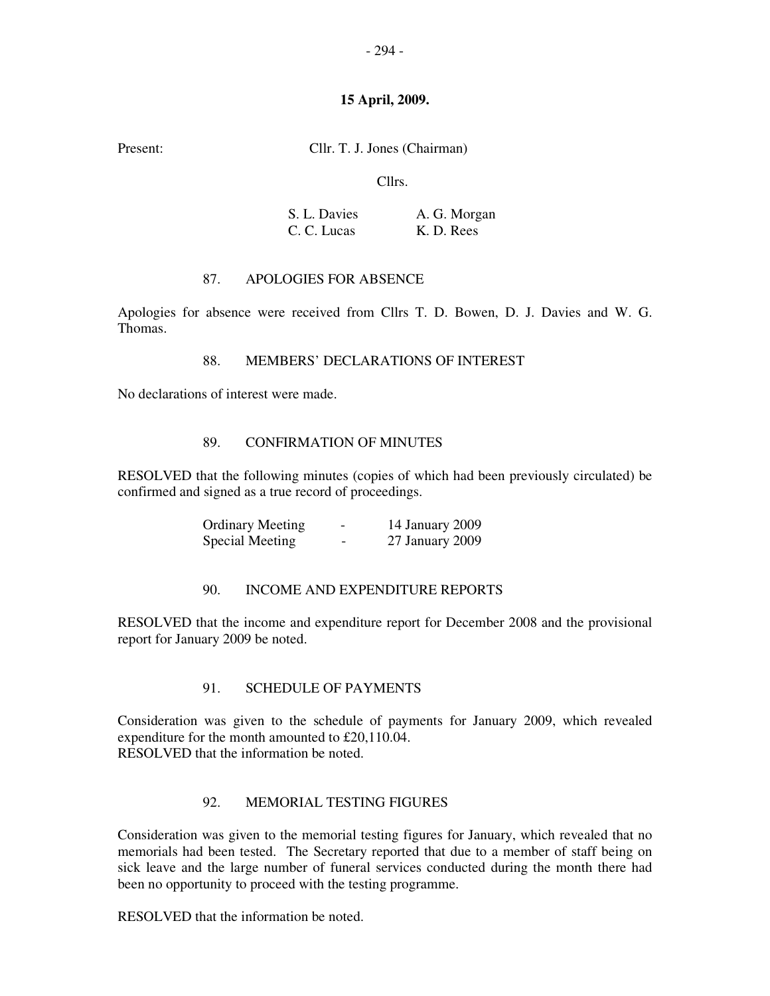Present: Cllr. T. J. Jones (Chairman)

Cllrs.

| S. L. Davies | A. G. Morgan |
|--------------|--------------|
| C. C. Lucas  | K. D. Rees   |

## 87. APOLOGIES FOR ABSENCE

Apologies for absence were received from Cllrs T. D. Bowen, D. J. Davies and W. G. Thomas.

### 88. MEMBERS' DECLARATIONS OF INTEREST

No declarations of interest were made.

### 89. CONFIRMATION OF MINUTES

RESOLVED that the following minutes (copies of which had been previously circulated) be confirmed and signed as a true record of proceedings.

| <b>Ordinary Meeting</b> | -                        | 14 January 2009 |
|-------------------------|--------------------------|-----------------|
| Special Meeting         | $\overline{\phantom{0}}$ | 27 January 2009 |

### 90. INCOME AND EXPENDITURE REPORTS

RESOLVED that the income and expenditure report for December 2008 and the provisional report for January 2009 be noted.

### 91. SCHEDULE OF PAYMENTS

Consideration was given to the schedule of payments for January 2009, which revealed expenditure for the month amounted to £20,110.04. RESOLVED that the information be noted.

# 92. MEMORIAL TESTING FIGURES

Consideration was given to the memorial testing figures for January, which revealed that no memorials had been tested. The Secretary reported that due to a member of staff being on sick leave and the large number of funeral services conducted during the month there had been no opportunity to proceed with the testing programme.

RESOLVED that the information be noted.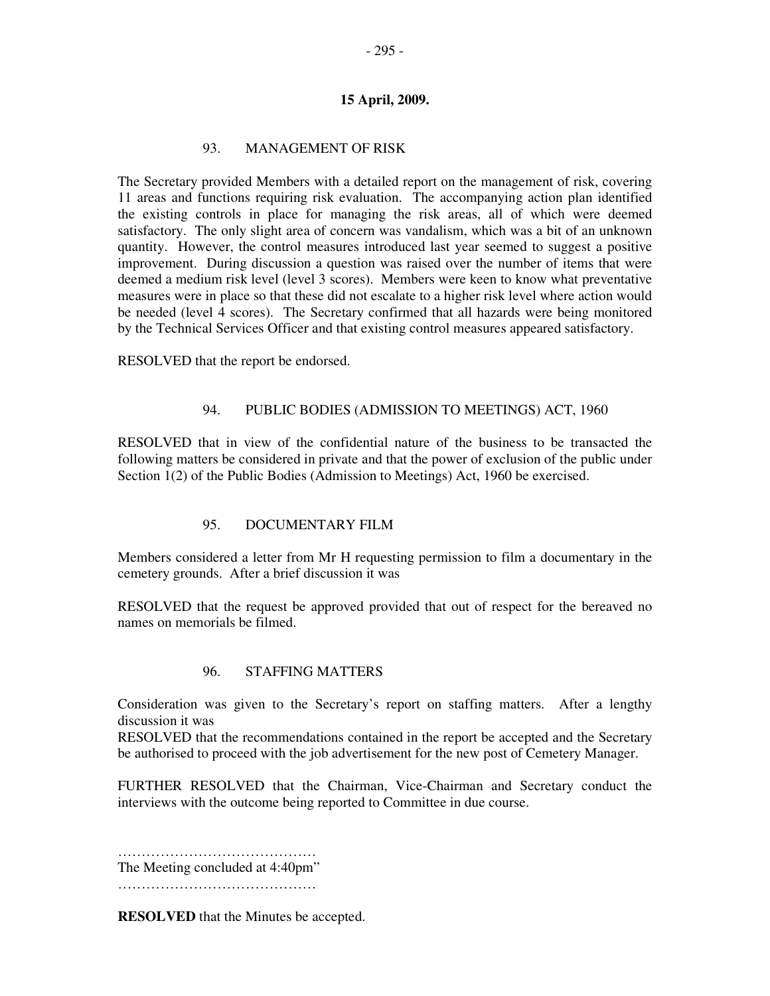## 93. MANAGEMENT OF RISK

The Secretary provided Members with a detailed report on the management of risk, covering 11 areas and functions requiring risk evaluation. The accompanying action plan identified the existing controls in place for managing the risk areas, all of which were deemed satisfactory. The only slight area of concern was vandalism, which was a bit of an unknown quantity. However, the control measures introduced last year seemed to suggest a positive improvement. During discussion a question was raised over the number of items that were deemed a medium risk level (level 3 scores). Members were keen to know what preventative measures were in place so that these did not escalate to a higher risk level where action would be needed (level 4 scores). The Secretary confirmed that all hazards were being monitored by the Technical Services Officer and that existing control measures appeared satisfactory.

RESOLVED that the report be endorsed.

#### 94. PUBLIC BODIES (ADMISSION TO MEETINGS) ACT, 1960

RESOLVED that in view of the confidential nature of the business to be transacted the following matters be considered in private and that the power of exclusion of the public under Section 1(2) of the Public Bodies (Admission to Meetings) Act, 1960 be exercised.

### 95. DOCUMENTARY FILM

Members considered a letter from Mr H requesting permission to film a documentary in the cemetery grounds. After a brief discussion it was

RESOLVED that the request be approved provided that out of respect for the bereaved no names on memorials be filmed.

### 96. STAFFING MATTERS

Consideration was given to the Secretary's report on staffing matters. After a lengthy discussion it was

RESOLVED that the recommendations contained in the report be accepted and the Secretary be authorised to proceed with the job advertisement for the new post of Cemetery Manager.

FURTHER RESOLVED that the Chairman, Vice-Chairman and Secretary conduct the interviews with the outcome being reported to Committee in due course.

…………………………………………………… The Meeting concluded at 4:40pm" …………………………………………

**RESOLVED** that the Minutes be accepted.